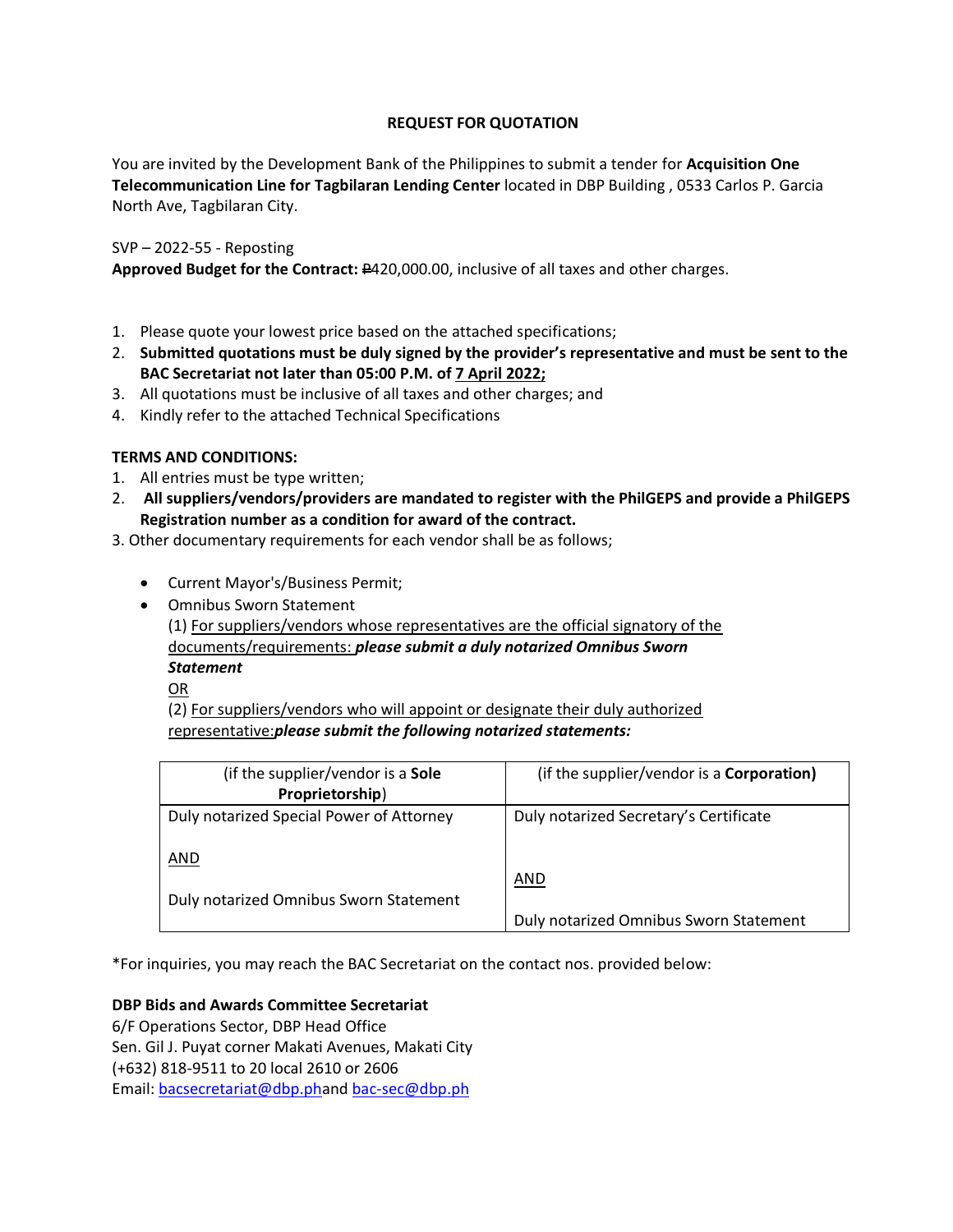# **REQUEST FOR QUOTATION**

You are invited by the Development Bank of the Philippines to submit a tender for **Acquisition One Telecommunication Line for Tagbilaran Lending Center** located in DBP Building , 0533 Carlos P. Garcia North Ave, Tagbilaran City.

## SVP – 2022-55 - Reposting

Approved Budget for the Contract: #420,000.00, inclusive of all taxes and other charges.

- 1. Please quote your lowest price based on the attached specifications;
- 2. **Submitted quotations must be duly signed by the provider's representative and must be sent to the BAC Secretariat not later than 05:00 P.M. of 7 April 2022;**
- 3. All quotations must be inclusive of all taxes and other charges; and
- 4. Kindly refer to the attached Technical Specifications

# **TERMS AND CONDITIONS:**

- 1. All entries must be type written;
- 2. **All suppliers/vendors/providers are mandated to register with the PhilGEPS and provide a PhilGEPS Registration number as a condition for award of the contract.**
- 3. Other documentary requirements for each vendor shall be as follows;
	- Current Mayor's/Business Permit;
	- Omnibus Sworn Statement

(1) For suppliers/vendors whose representatives are the official signatory of the documents/requirements: *please submit a duly notarized Omnibus Sworn Statement*

OR

(2) For suppliers/vendors who will appoint or designate their duly authorized representative:*please submit the following notarized statements:*

| (if the supplier/vendor is a Sole<br>Proprietorship) | (if the supplier/vendor is a <b>Corporation)</b> |
|------------------------------------------------------|--------------------------------------------------|
| Duly notarized Special Power of Attorney             | Duly notarized Secretary's Certificate           |
| AND                                                  | <b>AND</b>                                       |
| Duly notarized Omnibus Sworn Statement               | Duly notarized Omnibus Sworn Statement           |

\*For inquiries, you may reach the BAC Secretariat on the contact nos. provided below:

## **DBP Bids and Awards Committee Secretariat**

6/F Operations Sector, DBP Head Office Sen. Gil J. Puyat corner Makati Avenues, Makati City (+632) 818-9511 to 20 local 2610 or 2606 Email: [bacsecretariat@dbp.pha](mailto:bacsecretariat@dbp.ph)nd [bac-sec@dbp.ph](mailto:bac-sec@dbp.ph)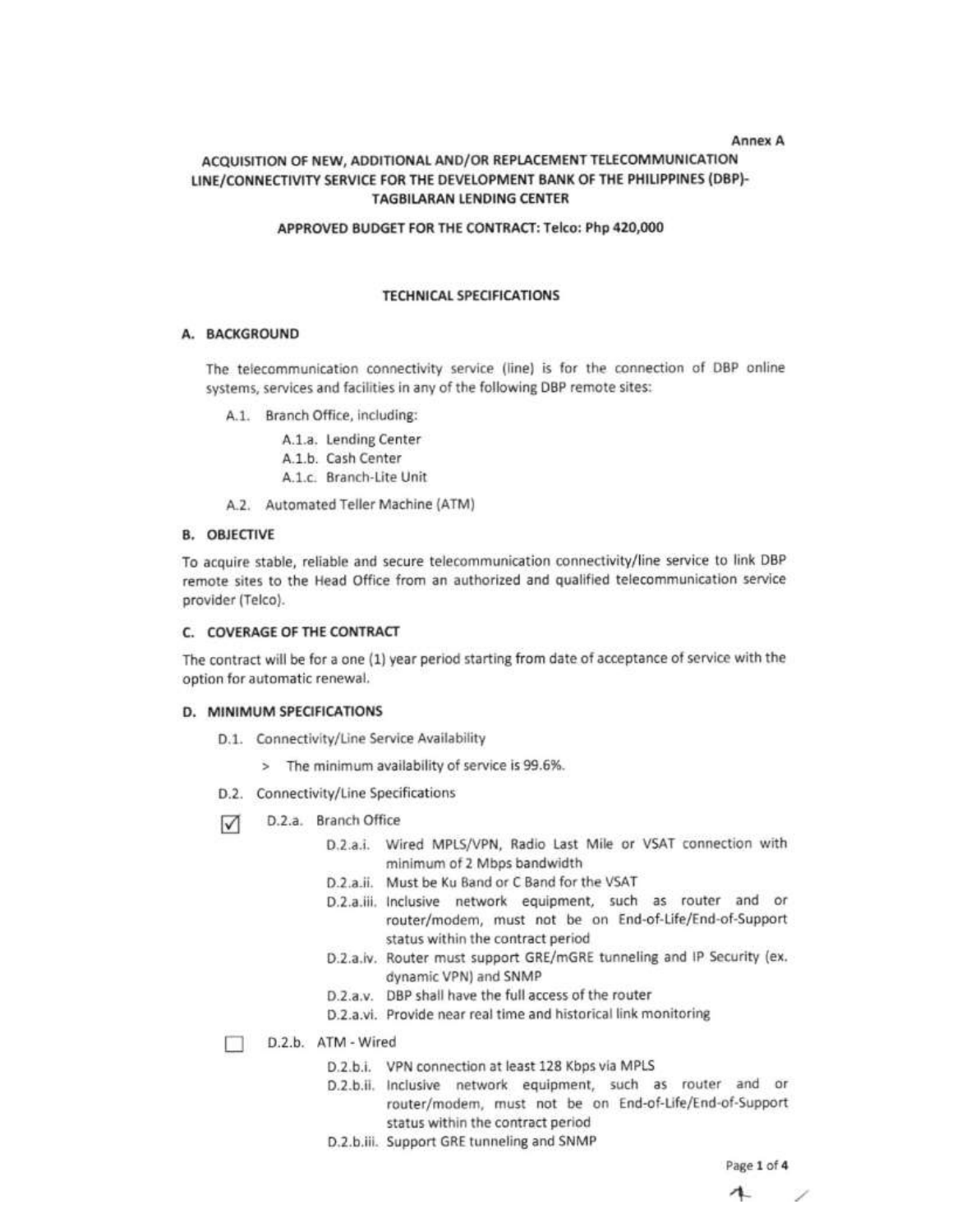#### **Annex A**

## ACQUISITION OF NEW, ADDITIONAL AND/OR REPLACEMENT TELECOMMUNICATION LINE/CONNECTIVITY SERVICE FOR THE DEVELOPMENT BANK OF THE PHILIPPINES (DBP)-**TAGBILARAN LENDING CENTER**

#### APPROVED BUDGET FOR THE CONTRACT: Telco: Php 420,000

#### **TECHNICAL SPECIFICATIONS**

## A. BACKGROUND

The telecommunication connectivity service (line) is for the connection of DBP online systems, services and facilities in any of the following DBP remote sites:

A.1. Branch Office, including:

A.1.a. Lending Center A.1.b. Cash Center A.1.c. Branch-Lite Unit

A.2. Automated Teller Machine (ATM)

#### **B. OBJECTIVE**

To acquire stable, reliable and secure telecommunication connectivity/line service to link DBP remote sites to the Head Office from an authorized and qualified telecommunication service provider (Telco).

#### C. COVERAGE OF THE CONTRACT

The contract will be for a one (1) year period starting from date of acceptance of service with the option for automatic renewal.

#### D. MINIMUM SPECIFICATIONS

- D.1. Connectivity/Line Service Availability
	- > The minimum availability of service is 99.6%.
- D.2. Connectivity/Line Specifications
- D.2.a. Branch Office М
	- D.2.a.i. Wired MPLS/VPN, Radio Last Mile or VSAT connection with minimum of 2 Mbps bandwidth
	- D.2.a.ii. Must be Ku Band or C Band for the VSAT
	- D.2.a.iii. Inclusive network equipment, such as router and or router/modem, must not be on End-of-Life/End-of-Support status within the contract period
	- D.2.a.iv. Router must support GRE/mGRE tunneling and IP Security (ex. dynamic VPN) and SNMP
	- D.2.a.v. DBP shall have the full access of the router
	- D.2.a.vi. Provide near real time and historical link monitoring

D.2.b. ATM - Wired

- D.2.b.i. VPN connection at least 128 Kbps via MPLS
- D.2.b.ii. Inclusive network equipment, such as router and or router/modem, must not be on End-of-Life/End-of-Support status within the contract period
- D.2.b.iii. Support GRE tunneling and SNMP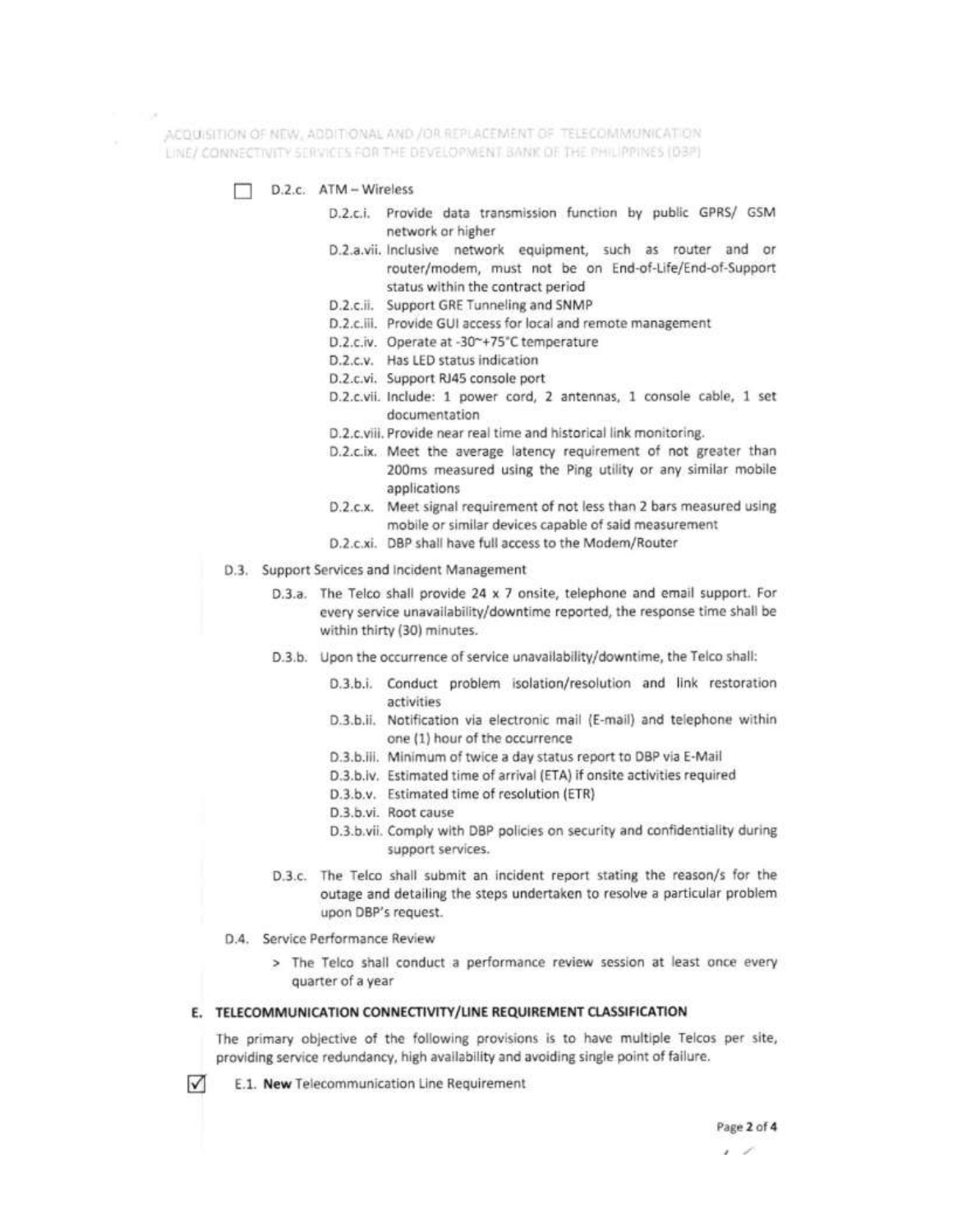ACQUISITION OF NEW, ADDITIONAL AND /OR REPLACEMENT OF TELECOMMUNICATION LINE/ CONNECTIVITY SERVICES FOR THE DEVELOPMENT BANK OF THE PHILIPPINES (DBP)

- D.Z.c. ATM Wireless
	- D.2.c.i. Provide data transmission function by public GPRS/ GSM network or higher
	- D.2.a.vii. Inclusive network equipment, such as router and or router/modem, must not be on End-of-Life/End-of-Support status within the contract period
	- D.2.c.ii. Support GRE Tunneling and SNMP
	- D.2.c.iii. Provide GUI access for local and remote management
	- D.2.c.iv. Operate at -30~+75°C temperature
	- D.2.c.v. Has LED status indication
	- D.2.c.vi. Support RJ45 console port
	- D.2.c.vii. Include: 1 power cord, 2 antennas, 1 console cable, 1 set documentation
	- D.2.c.viii. Provide near real time and historical link monitoring.
	- D.2.c.ix. Meet the average latency requirement of not greater than 200ms measured using the Ping utility or any similar mobile applications
	- D.2.c.x. Meet signal requirement of not less than 2 bars measured using mobile or similar devices capable of said measurement
	- D.2.c.xi. DBP shall have full access to the Modem/Router
- D.3. Support Services and Incident Management
	- D.3.a. The Telco shall provide 24 x 7 onsite, telephone and email support. For every service unavailability/downtime reported, the response time shall be within thirty (30) minutes.
	- D.3.b. Upon the occurrence of service unavailability/downtime, the Telco shall:
		- D.3.b.i. Conduct problem isolation/resolution and link restoration activities
		- D.3.b.ii. Notification via electronic mail (E-mail) and telephone within one (1) hour of the occurrence
		- D.3.b.iii. Minimum of twice a day status report to DBP via E-Mail
		- D.3.b.iv. Estimated time of arrival (ETA) if onsite activities required
		- D.3.b.v. Estimated time of resolution (ETR)
		- D.3.b.vi. Root cause
		- D.3.b.vii. Comply with DBP policies on security and confidentiality during support services.
	- D.3.c. The Telco shall submit an incident report stating the reason/s for the outage and detailing the steps undertaken to resolve a particular problem upon DBP's request.
- D.4. Service Performance Review

 $\sqrt{}$ 

> The Telco shall conduct a performance review session at least once every quarter of a year

#### E. TELECOMMUNICATION CONNECTIVITY/LINE REQUIREMENT CLASSIFICATION

The primary objective of the following provisions is to have multiple Telcos per site, providing service redundancy, high availability and avoiding single point of failure.

E.1. New Telecommunication Line Requirement

<sup>, ,</sup>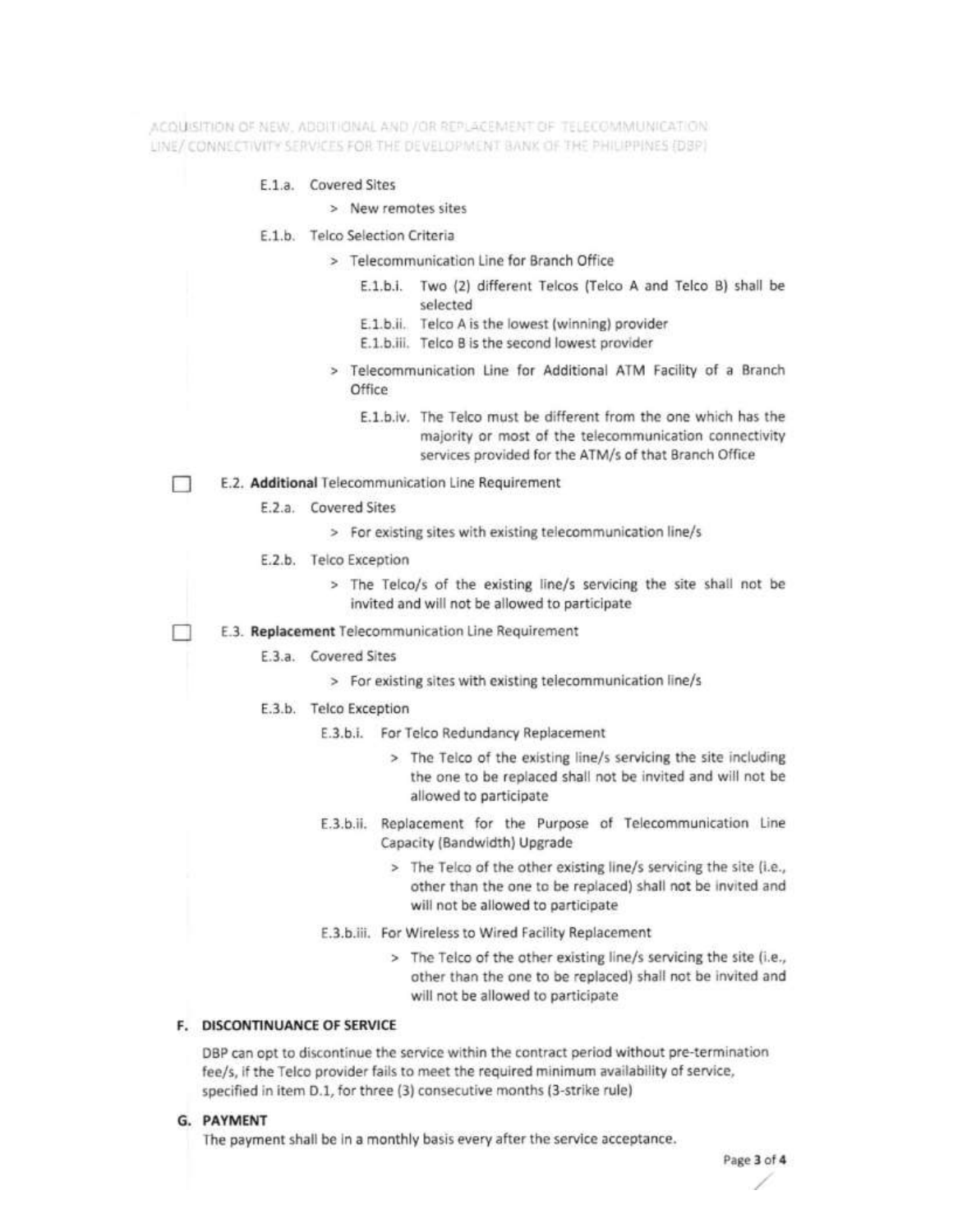ACOUSSTIDN OF NEW , ADDITIONAL AND / OR REPLACEMENT OF TELECOMMUNICATION LINE/ CONNECTIVITY SERVICES FOR THE DEVELOPMENT BANK OF THE PHILIPPINES (DBP)

#### E.1.a. Covered Sites

- > New remotes sites
- E.1.b. Telco Selection Criteria
	- > Telecommunication Line for Branch Office
		- E.1.b.i. Two (2) different Telcos (Telco A and Telco B) shall be selected
		- E.1.b.ii. Telco A is the lowest (winning) provider
		- E.1.b.iii. Telco B is the second lowest provider
	- > Telecommunication Line for Additional ATM Facility of a Branch Office
		- E.1.b.iv. The Telco must be different from the one which has the majority or most of the telecommunication connectivity services provided for the ATM/s of that Branch Office
- E.2. Additional Telecommunication Line Requirement  $\mathbb{R}$ 
	- E.2.a. Covered Sites
		- > For existing sites with existing telecommunication line/s
	- E.2.b. Telco Exception
		- > The Telco/s of the existing line/s servicing the site shall not be invited and will not be allowed to participate
	- E.3. Replacement Telecommunication Line Requirement
		- E.3.a. Covered Sites
			- > For existing sites with existing telecommunication line/s
		- E.3.b. Telco Exception
			- E.3.b.i. For Telco Redundancy Replacement
				- > The Telco of the existing line/s servicing the site including the one to be replaced shall not be invited and will not be allowed to participate
			- E.3.b.ii. Replacement for the Purpose of Telecommunication Line Capacity (Bandwidth) Upgrade
				- > The Telco of the other existing line/s servicing the site (i.e., other than the one to be replaced) shall not be invited and will not be allowed to participate
			- E.3.b.iii. For Wireless to Wired Facility Replacement
				- > The Telco of the other existing line/s servicing the site (i.e., other than the one to be replaced) shall not be invited and will not be allowed to participate

## F. DISCONTINUANCE OF SERVICE

DBP can opt to discontinue the service within the contract period without pre-termination fee/s, if the Telco provider fails to meet the required minimum availability of service, specified in item D.1, for three (3) consecutive months (3-strike rule)

G. PAYMENT

The payment shall be in a monthly basis every after the service acceptance.